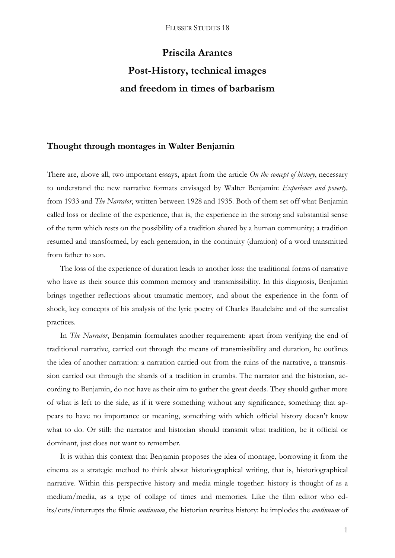# **Priscila Arantes Post-History, technical images and freedom in times of barbarism**

# **Thought through montages in Walter Benjamin**

There are, above all, two important essays, apart from the article *On the concept of history*, necessary to understand the new narrative formats envisaged by Walter Benjamin: *Experience and poverty,*  from 1933 and *The Narrator*, written between 1928 and 1935. Both of them set off what Benjamin called loss or decline of the experience, that is, the experience in the strong and substantial sense of the term which rests on the possibility of a tradition shared by a human community; a tradition resumed and transformed, by each generation, in the continuity (duration) of a word transmitted from father to son.

The loss of the experience of duration leads to another loss: the traditional forms of narrative who have as their source this common memory and transmissibility. In this diagnosis, Benjamin brings together reflections about traumatic memory, and about the experience in the form of shock, key concepts of his analysis of the lyric poetry of Charles Baudelaire and of the surrealist practices.

In *The Narrator*, Benjamin formulates another requirement: apart from verifying the end of traditional narrative, carried out through the means of transmissibility and duration, he outlines the idea of another narration: a narration carried out from the ruins of the narrative, a transmission carried out through the shards of a tradition in crumbs. The narrator and the historian, according to Benjamin, do not have as their aim to gather the great deeds. They should gather more of what is left to the side, as if it were something without any significance, something that appears to have no importance or meaning, something with which official history doesn't know what to do. Or still: the narrator and historian should transmit what tradition, be it official or dominant, just does not want to remember.

It is within this context that Benjamin proposes the idea of montage, borrowing it from the cinema as a strategic method to think about historiographical writing, that is, historiographical narrative. Within this perspective history and media mingle together: history is thought of as a medium/media, as a type of collage of times and memories. Like the film editor who edits/cuts/interrupts the filmic *continuum*, the historian rewrites history: he implodes the *continuum* of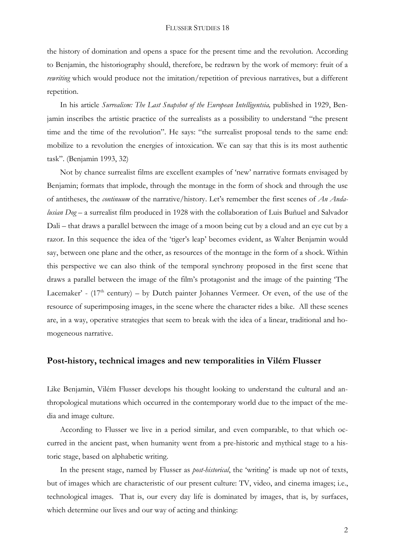the history of domination and opens a space for the present time and the revolution. According to Benjamin, the historiography should, therefore, be redrawn by the work of memory: fruit of a *rewriting* which would produce not the imitation/repetition of previous narratives, but a different repetition.

In his article *Surrealism: The Last Snapshot of the European Intelligentsia,* published in 1929, Benjamin inscribes the artistic practice of the surrealists as a possibility to understand "the present time and the time of the revolution". He says: "the surrealist proposal tends to the same end: mobilize to a revolution the energies of intoxication. We can say that this is its most authentic task". (Benjamin 1993, 32)

Not by chance surrealist films are excellent examples of 'new' narrative formats envisaged by Benjamin; formats that implode, through the montage in the form of shock and through the use of antitheses, the *continuum* of the narrative/history. Let's remember the first scenes of *An Andalusian Dog –* a surrealist film produced in 1928 with the collaboration of Luis Buñuel and Salvador Dali – that draws a parallel between the image of a moon being cut by a cloud and an eye cut by a razor. In this sequence the idea of the 'tiger's leap' becomes evident, as Walter Benjamin would say, between one plane and the other, as resources of the montage in the form of a shock. Within this perspective we can also think of the temporal synchrony proposed in the first scene that draws a parallel between the image of the film's protagonist and the image of the painting 'The Lacemaker' -  $(17<sup>th</sup>$  century) – by Dutch painter Johannes Vermeer. Or even, of the use of the resource of superimposing images, in the scene where the character rides a bike. All these scenes are, in a way, operative strategies that seem to break with the idea of a linear, traditional and homogeneous narrative.

## **Post-history, technical images and new temporalities in Vilém Flusser**

Like Benjamin, Vilém Flusser develops his thought looking to understand the cultural and anthropological mutations which occurred in the contemporary world due to the impact of the media and image culture.

According to Flusser we live in a period similar, and even comparable, to that which occurred in the ancient past, when humanity went from a pre-historic and mythical stage to a historic stage, based on alphabetic writing.

In the present stage, named by Flusser as *post-historical*, the 'writing' is made up not of texts, but of images which are characteristic of our present culture: TV, video, and cinema images; i.e., technological images. That is, our every day life is dominated by images, that is, by surfaces, which determine our lives and our way of acting and thinking: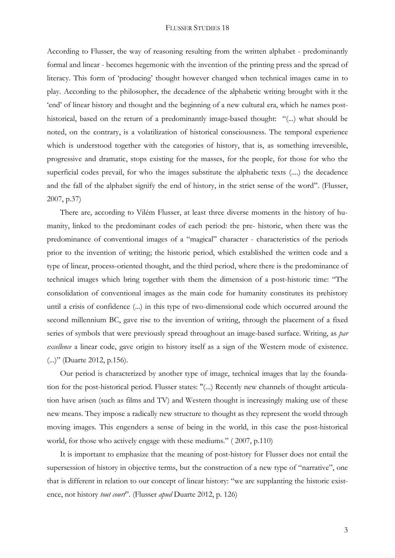According to Flusser, the way of reasoning resulting from the written alphabet - predominantly formal and linear - becomes hegemonic with the invention of the printing press and the spread of literacy. This form of 'producing' thought however changed when technical images came in to play. According to the philosopher, the decadence of the alphabetic writing brought with it the 'end' of linear history and thought and the beginning of a new cultural era, which he names posthistorical, based on the return of a predominantly image-based thought: "(...) what should be noted, on the contrary, is a volatilization of historical consciousness. The temporal experience which is understood together with the categories of history, that is, as something irreversible, progressive and dramatic, stops existing for the masses, for the people, for those for who the superficial codes prevail, for who the images substitute the alphabetic texts (....) the decadence and the fall of the alphabet signify the end of history, in the strict sense of the word". (Flusser, 2007, p.37)

There are, according to Vilém Flusser, at least three diverse moments in the history of humanity, linked to the predominant codes of each period: the pre- historic, when there was the predominance of conventional images of a "magical" character - characteristics of the periods prior to the invention of writing; the historic period, which established the written code and a type of linear, process-oriented thought, and the third period, where there is the predominance of technical images which bring together with them the dimension of a post-historic time: "The consolidation of conventional images as the main code for humanity constitutes its prehistory until a crisis of confidence (...) in this type of two-dimensional code which occurred around the second millennium BC, gave rise to the invention of writing, through the placement of a fixed series of symbols that were previously spread throughout an image-based surface. Writing, as *par excellence* a linear code, gave origin to history itself as a sign of the Western mode of existence. (...)" (Duarte 2012, p.156).

Our period is characterized by another type of image, technical images that lay the foundation for the post-historical period. Flusser states: "(...) Recently new channels of thought articulation have arisen (such as films and TV) and Western thought is increasingly making use of these new means. They impose a radically new structure to thought as they represent the world through moving images. This engenders a sense of being in the world, in this case the post-historical world, for those who actively engage with these mediums." ( 2007, p.110)

It is important to emphasize that the meaning of post-history for Flusser does not entail the supersession of history in objective terms, but the construction of a new type of "narrative", one that is different in relation to our concept of linear history: "we are supplanting the historic existence, not history *tout court*". (Flusser *apud* Duarte 2012, p. 126)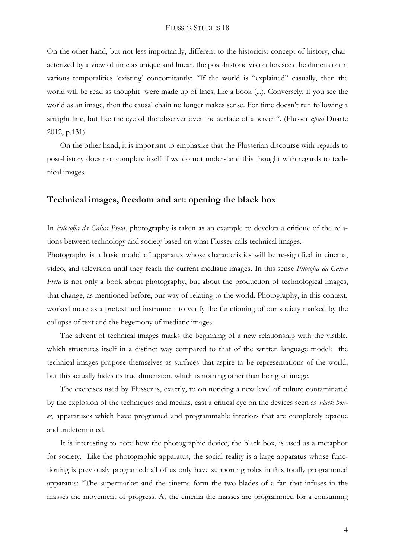On the other hand, but not less importantly, different to the historicist concept of history, characterized by a view of time as unique and linear, the post-historic vision foresees the dimension in various temporalities 'existing' concomitantly: "If the world is "explained" casually, then the world will be read as thoughit were made up of lines, like a book (...). Conversely, if you see the world as an image, then the causal chain no longer makes sense. For time doesn't run following a straight line, but like the eye of the observer over the surface of a screen". (Flusser *apud* Duarte 2012, p.131)

On the other hand, it is important to emphasize that the Flusserian discourse with regards to post-history does not complete itself if we do not understand this thought with regards to technical images.

## **Technical images, freedom and art: opening the black box**

In *Filosofia da Caixa Preta,* photography is taken as an example to develop a critique of the relations between technology and society based on what Flusser calls technical images.

Photography is a basic model of apparatus whose characteristics will be re-signified in cinema, video, and television until they reach the current mediatic images. In this sense *Filosofia da Caixa Preta* is not only a book about photography, but about the production of technological images, that change, as mentioned before, our way of relating to the world. Photography, in this context, worked more as a pretext and instrument to verify the functioning of our society marked by the collapse of text and the hegemony of mediatic images.

The advent of technical images marks the beginning of a new relationship with the visible, which structures itself in a distinct way compared to that of the written language model: the technical images propose themselves as surfaces that aspire to be representations of the world, but this actually hides its true dimension, which is nothing other than being an image.

The exercises used by Flusser is, exactly, to on noticing a new level of culture contaminated by the explosion of the techniques and medias, cast a critical eye on the devices seen as *black boxes*, apparatuses which have programed and programmable interiors that are completely opaque and undetermined.

It is interesting to note how the photographic device, the black box, is used as a metaphor for society. Like the photographic apparatus, the social reality is a large apparatus whose functioning is previously programed: all of us only have supporting roles in this totally programmed apparatus: "The supermarket and the cinema form the two blades of a fan that infuses in the masses the movement of progress. At the cinema the masses are programmed for a consuming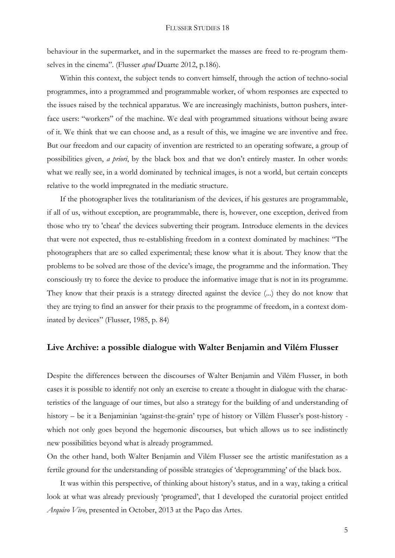behaviour in the supermarket, and in the supermarket the masses are freed to re-program themselves in the cinema". (Flusser *apud* Duarte 2012, p.186).

Within this context, the subject tends to convert himself, through the action of techno-social programmes, into a programmed and programmable worker, of whom responses are expected to the issues raised by the technical apparatus. We are increasingly machinists, button pushers, interface users: "workers" of the machine. We deal with programmed situations without being aware of it. We think that we can choose and, as a result of this, we imagine we are inventive and free. But our freedom and our capacity of invention are restricted to an operating software, a group of possibilities given, *a priori*, by the black box and that we don't entirely master. In other words: what we really see, in a world dominated by technical images, is not a world, but certain concepts relative to the world impregnated in the mediatic structure.

If the photographer lives the totalitarianism of the devices, if his gestures are programmable, if all of us, without exception, are programmable, there is, however, one exception, derived from those who try to 'cheat' the devices subverting their program. Introduce elements in the devices that were not expected, thus re-establishing freedom in a context dominated by machines: "The photographers that are so called experimental; these know what it is about. They know that the problems to be solved are those of the device's image, the programme and the information. They consciously try to force the device to produce the informative image that is not in its programme. They know that their praxis is a strategy directed against the device (...) they do not know that they are trying to find an answer for their praxis to the programme of freedom, in a context dominated by devices" (Flusser, 1985, p. 84)

### **Live Archive: a possible dialogue with Walter Benjamin and Vilém Flusser**

Despite the differences between the discourses of Walter Benjamin and Vilém Flusser, in both cases it is possible to identify not only an exercise to create a thought in dialogue with the characteristics of the language of our times, but also a strategy for the building of and understanding of history – be it a Benjaminian 'against-the-grain' type of history or Villém Flusser's post-history which not only goes beyond the hegemonic discourses, but which allows us to see indistinctly new possibilities beyond what is already programmed.

On the other hand, both Walter Benjamin and Vilém Flusser see the artistic manifestation as a fertile ground for the understanding of possible strategies of 'deprogramming' of the black box.

It was within this perspective, of thinking about history's status, and in a way, taking a critical look at what was already previously 'programed', that I developed the curatorial project entitled *Arquivo Vivo*, presented in October, 2013 at the Paço das Artes.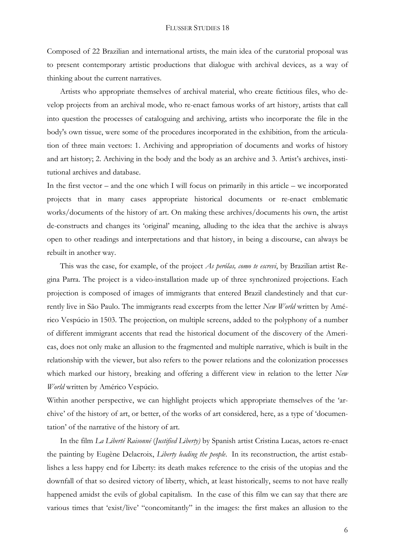Composed of 22 Brazilian and international artists, the main idea of the curatorial proposal was to present contemporary artistic productions that dialogue with archival devices, as a way of thinking about the current narratives.

Artists who appropriate themselves of archival material, who create fictitious files, who develop projects from an archival mode, who re-enact famous works of art history, artists that call into question the processes of cataloguing and archiving, artists who incorporate the file in the body's own tissue, were some of the procedures incorporated in the exhibition, from the articulation of three main vectors: 1. Archiving and appropriation of documents and works of history and art history; 2. Archiving in the body and the body as an archive and 3. Artist's archives, institutional archives and database.

In the first vector – and the one which I will focus on primarily in this article – we incorporated projects that in many cases appropriate historical documents or re-enact emblematic works/documents of the history of art. On making these archives/documents his own, the artist de-constructs and changes its 'original' meaning, alluding to the idea that the archive is always open to other readings and interpretations and that history, in being a discourse, can always be rebuilt in another way.

This was the case, for example, of the project *As perólas, como te escrevi*, by Brazilian artist Regina Parra. The project is a video-installation made up of three synchronized projections. Each projection is composed of images of immigrants that entered Brazil clandestinely and that currently live in São Paulo. The immigrants read excerpts from the letter *New World* written by Américo Vespúcio in 1503. The projection, on multiple screens, added to the polyphony of a number of different immigrant accents that read the historical document of the discovery of the Americas, does not only make an allusion to the fragmented and multiple narrative, which is built in the relationship with the viewer, but also refers to the power relations and the colonization processes which marked our history, breaking and offering a different view in relation to the letter *New World* written by Américo Vespúcio.

Within another perspective, we can highlight projects which appropriate themselves of the 'archive' of the history of art, or better, of the works of art considered, here, as a type of 'documentation' of the narrative of the history of art.

In the film *La Liberté Raisonné* (*Justified Liberty)* by Spanish artist Cristina Lucas, actors re-enact the painting by Eugène Delacroix, *Liberty leading the people*. In its reconstruction, the artist establishes a less happy end for Liberty: its death makes reference to the crisis of the utopias and the downfall of that so desired victory of liberty, which, at least historically, seems to not have really happened amidst the evils of global capitalism. In the case of this film we can say that there are various times that 'exist/live' "concomitantly" in the images: the first makes an allusion to the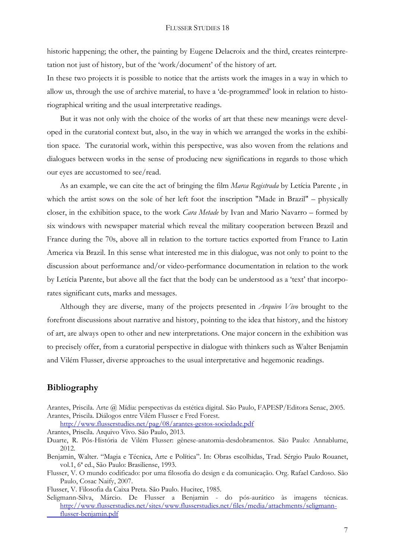historic happening; the other, the painting by Eugene Delacroix and the third, creates reinterpretation not just of history, but of the 'work/document' of the history of art.

In these two projects it is possible to notice that the artists work the images in a way in which to allow us, through the use of archive material, to have a 'de-programmed' look in relation to historiographical writing and the usual interpretative readings.

But it was not only with the choice of the works of art that these new meanings were developed in the curatorial context but, also, in the way in which we arranged the works in the exhibition space. The curatorial work, within this perspective, was also woven from the relations and dialogues between works in the sense of producing new significations in regards to those which our eyes are accustomed to see/read.

As an example, we can cite the act of bringing the film *Marca Registrada* by Letícia Parente , in which the artist sows on the sole of her left foot the inscription "Made in Brazil" – physically closer, in the exhibition space, to the work *Cara Metade* by Ivan and Mario Navarro – formed by six windows with newspaper material which reveal the military cooperation between Brazil and France during the 70s, above all in relation to the torture tactics exported from France to Latin America via Brazil. In this sense what interested me in this dialogue, was not only to point to the discussion about performance and/or video-performance documentation in relation to the work by Letícia Parente, but above all the fact that the body can be understood as a 'text' that incorporates significant cuts, marks and messages.

Although they are diverse, many of the projects presented in *Arquivo Vivo* brought to the forefront discussions about narrative and history, pointing to the idea that history, and the history of art, are always open to other and new interpretations. One major concern in the exhibition was to precisely offer, from a curatorial perspective in dialogue with thinkers such as Walter Benjamin and Vilém Flusser, diverse approaches to the usual interpretative and hegemonic readings.

## **Bibliography**

Arantes, Priscila. Arte @ Mídia: perspectivas da estética digital. São Paulo, FAPESP/Editora Senac, 2005. Arantes, Priscila. Diálogos entre Vilém Flusser e Fred Forest.

<http://www.flusserstudies.net/pag/08/arantes-gestos-sociedade.pdf>

Arantes, Priscila. Arquivo Vivo. São Paulo, 2013.

- Benjamin, Walter. "Magia e Técnica, Arte e Política". In: Obras escolhidas, Trad. Sérgio Paulo Rouanet, vol.1, 6ª ed., São Paulo: Brasiliense, 1993.
- Flusser, V. O mundo codificado: por uma filosofia do design e da comunicação. Org. Rafael Cardoso. São Paulo, Cosac Naify, 2007.

Flusser, V. Filosofia da Caixa Preta. São Paulo. Hucitec, 1985.

Seligmann-Silva, Márcio. De Flusser a Benjamin - do pós-aurático às imagens técnicas. [http://www.flusserstudies.net/sites/www.flusserstudies.net/files/media/attachments/seligmann](http://www.flusserstudies.net/sites/www.flusserstudies.net/files/media/attachments/seligmann-%09flusser-benjamin.pdf)[flusser-benjamin.pdf](http://www.flusserstudies.net/sites/www.flusserstudies.net/files/media/attachments/seligmann-%09flusser-benjamin.pdf)

Duarte, R. Pós-História de Vilém Flusser: gênese-anatomia-desdobramentos. São Paulo: Annablume, 2012.